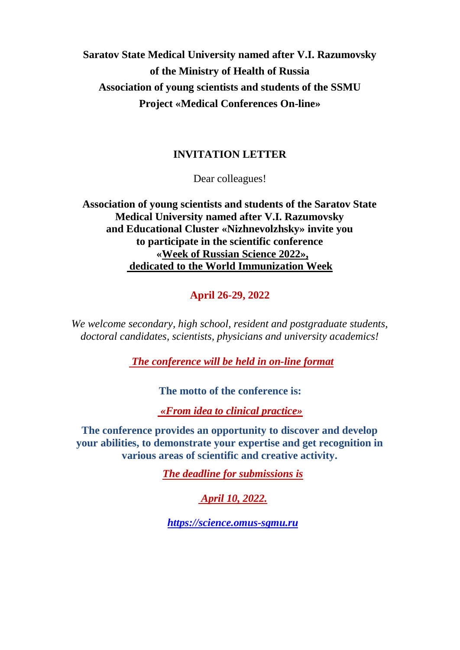# **Saratov State Medical University named after V.I. Razumovsky of the Ministry of Health of Russia Association of young scientists and students of the SSMU Project «Medical Conferences On-line»**

## **INVITATION LETTER**

Dear colleagues!

**Association of young scientists and students of the Saratov State Medical University named after V.I. Razumovsky and Educational Cluster «Nizhnevolzhsky» invite you to participate in the scientific conference «Week of Russian Science 2022», dedicated to the World Immunization Week**

**April 26-29, 2022**

*We welcome secondary, high school, resident and postgraduate students, doctoral candidates, scientists, physicians and university academics!*

*The conference will be held in on-line format*

**The motto of the conference is:**

*«From idea to clinical practice»*

**The conference provides an opportunity to discover and develop your abilities, to demonstrate your expertise and get recognition in various areas of scientific and creative activity.**

*The deadline for submissions is*

*April 10, 2022.*

*[https://science.omus-sgmu.ru](https://science.omus-sgmu.ru/)*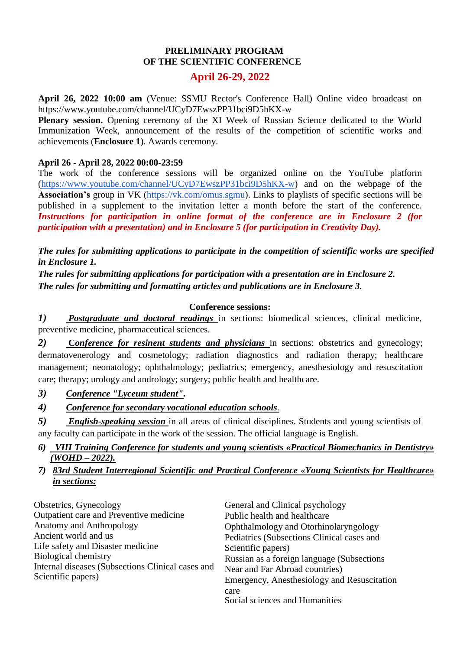### **PRELIMINARY PROGRAM OF THE SCIENTIFIC CONFERENCE**

### **April 26-29, 2022**

**April 26, 2022 10:00 am** (Venue: SSMU Rector's Conference Hall) Online video broadcast on https://www.youtube.com/channel/UCyD7EwszPP31bci9D5hKX-w

**Plenary session.** Opening ceremony of the XI Week of Russian Science dedicated to the World Immunization Week, announcement of the results of the competition of scientific works and achievements (**Enclosure 1**). Awards ceremony.

### **April 26 - April 28, 2022 00:00-23:59**

The work of the conference sessions will be organized online on the YouTube platform [\(https://www.youtube.com/channel/UCyD7EwszPP31bci9D5hKX-w\)](https://www.youtube.com/channel/UCyD7EwszPP31bci9D5hKX-w) and on the webpage of the **Association's** group in VK [\(https://vk.com/omus.sgmu\)](https://vk.com/omus.sgmu). Links to playlists of specific sections will be published in a supplement to the invitation letter a month before the start of the conference. *Instructions for participation in online format of the conference are in Enclosure 2 (for participation with a presentation) and in Enclosure 5 (for participation in Сreativity Day).*

*The rules for submitting applications to participate in the competition of scientific works are specified in Enclosure 1.*

*The rules for submitting applications for participation with a presentation are in Enclosure 2. The rules for submitting and formatting articles and publications are in Enclosure 3.* 

#### **Conference sessions:**

*1) Postgraduate and doctoral readings* in sections: biomedical sciences, clinical medicine, preventive medicine, pharmaceutical sciences.

*2)* **C***onference for resinent students and physicians* in sections: obstetrics and gynecology; dermatovenerology and cosmetology; radiation diagnostics and radiation therapy; healthcare management; neonatology; ophthalmology; pediatrics; emergency, anesthesiology and resuscitation care; therapy; urology and andrology; surgery; public health and healthcare.

- *3) Conference "Lyceum student".*
- *4) Conference for secondary vocational education schools*.

*5) English-speaking session* in all areas of clinical disciplines. Students and young scientists of any faculty can participate in the work of the session. The official language is English.

- *6) VIII Training Conference for students and young scientists «Practical Biomechanics in Dentistry» (WOHD – 2022).*
- *7) 83rd Student Interregional Scientific and Practical Conference «Young Scientists for Healthcare» in sections:*

| Obstetrics, Gynecology                                                  | General and Clinical psychology             |
|-------------------------------------------------------------------------|---------------------------------------------|
| Outpatient care and Preventive medicine                                 | Public health and healthcare                |
| <b>Anatomy and Anthropology</b>                                         | Ophthalmology and Otorhinolaryngology       |
| Ancient world and us                                                    | Pediatrics (Subsections Clinical cases and  |
| Life safety and Disaster medicine                                       | Scientific papers)                          |
| <b>Biological chemistry</b>                                             | Russian as a foreign language (Subsections) |
| Internal diseases (Subsections Clinical cases and<br>Scientific papers) | Near and Far Abroad countries)              |
|                                                                         | Emergency, Anesthesiology and Resuscitation |
|                                                                         | care                                        |
|                                                                         | Social sciences and Humanities              |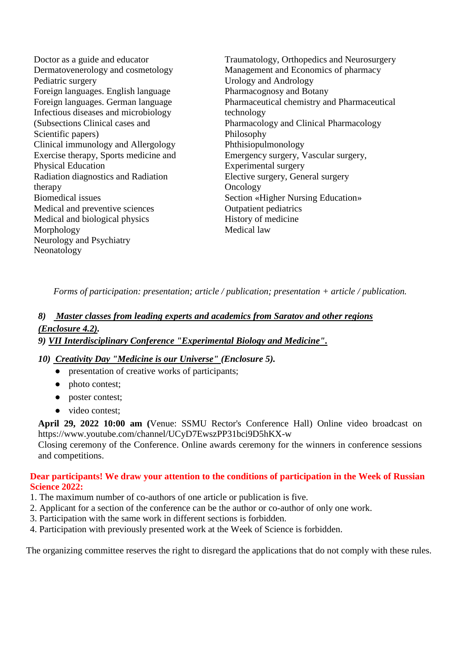Doctor as a guide and educator Dermatovenerology and cosmetology Pediatric surgery Foreign languages. English language Foreign languages. German language Infectious diseases and microbiology (Subsections Clinical cases and Scientific papers) Clinical immunology and Allergology Exercise therapy, Sports medicine and Physical Education Radiation diagnostics and Radiation therapy Biomedical issues Medical and preventive sciences Medical and biological physics Morphology Neurology and Psychiatry Neonatology Traumatology, Orthopedics and Neurosurgery Management and Economics of pharmacy Urology and Andrology Pharmacognosy and Botany Pharmaceutical chemistry and Pharmaceutical technology Pharmacology and Clinical Pharmacology Philosophy Phthisiopulmonology Emergency surgery, Vascular surgery, Experimental surgery Elective surgery, General surgery **Oncology** Section «Higher Nursing Education» Outpatient pediatrics History of medicine Medical law

*Forms of participation: presentation; article / publication; presentation + article / publication.*

# *8) Master classes from leading experts and academics from Saratov and other regions (Enclosure 4.2).*

*9) VII Interdisciplinary Conference "Experimental Biology and Medicine".*

### *10) Creativity Day "Medicine is our Universe" (Enclosure 5).*

- presentation of creative works of participants;
- photo contest;
- poster contest;
- video contest;

**April 29, 2022 10:00 am (**Venue: SSMU Rector's Conference Hall) Online video broadcast on https://www.youtube.com/channel/UCyD7EwszPP31bci9D5hKX-w

Closing ceremony of the Conference. Online awards ceremony for the winners in conference sessions and competitions.

### **Dear participants! We draw your attention to the conditions of participation in the Week of Russian Science 2022:**

- 1. The maximum number of co-authors of one article or publication is five.
- 2. Applicant for a section of the conference can be the author or co-author of only one work.
- 3. Participation with the same work in different sections is forbidden.
- 4. Participation with previously presented work at the Week of Science is forbidden.

The organizing committee reserves the right to disregard the applications that do not comply with these rules.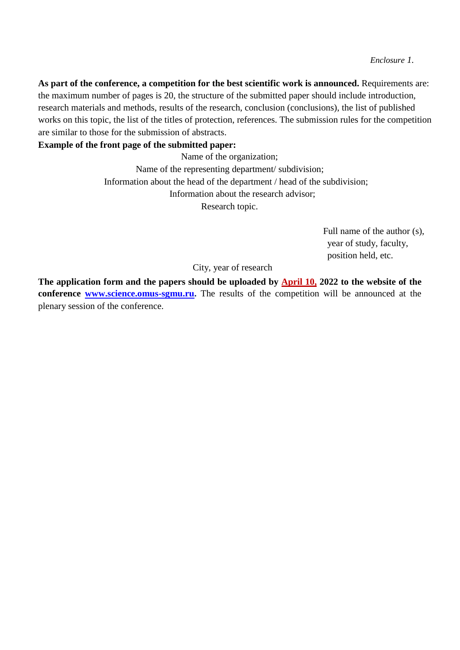**As part of the conference, a competition for the best scientific work is announced.** Requirements are: the maximum number of pages is 20, the structure of the submitted paper should include introduction, research materials and methods, results of the research, conclusion (conclusions), the list of published works on this topic, the list of the titles of protection, references. The submission rules for the competition are similar to those for the submission of abstracts.

#### **Example of the front page of the submitted paper:**

Name of the organization; Name of the representing department/ subdivision; Information about the head of the department / head of the subdivision; Information about the research advisor; Research topic.

> Full name of the author (s), year of study, faculty, position held, etc.

City, year of research

**The application form and the papers should be uploaded by April 10, 2022 to the website of the conference [www.science.omus-sgmu.ru.](http://www.science.omus-sgmu.ru/)** The results of the competition will be announced at the plenary session of the conference.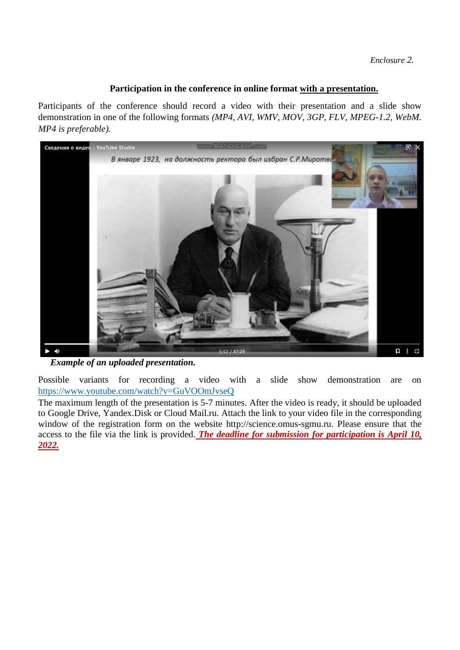### **Participation in the conference in online format with a presentation.**

Participants of the conference should record a video with their presentation and a slide show demonstration in one of the following formats *(MP4, AVI, WMV, MOV, 3GP, FLV, MPEG-1.2, WebM. MP4 is preferable).*



*Example of an uploaded presentation.*

Possible variants for recording a video with a slide show demonstration are on <https://www.youtube.com/watch?v=GuVOOmJvseQ>

The maximum length of the presentation is 5-7 minutes. After the video is ready, it should be uploaded to Google Drive, Yandex.Disk or Cloud Mail.ru. Attach the link to your video file in the corresponding window of the registration form on the website http://science.omus-sgmu.ru. Please ensure that the access to the file via the link is provided. *The deadline for submission for participation is April 10, 2022.*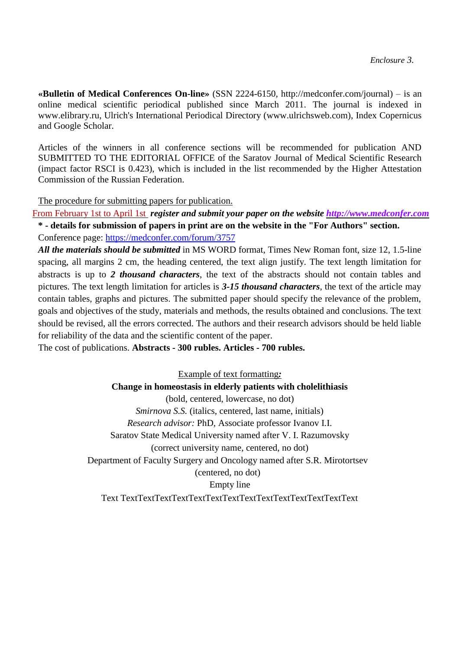**«Bulletin of Medical Conferences On-line»** (SSN 2224-6150, http://medconfer.com/journa[l\)](http://medconfer.com/journal)) – is an online medical scientific periodical published since March 2011. The journal is indexed in www.elibrary.ru, Ulrich's International Periodical Directory (www.ulrichsweb.com), Index Copernicus and Google Scholar.

Articles of the winners in all conference sections will be recommended for publication AND SUBMITTED TO THE EDITORIAL OFFICE of the Saratov Journal of Medical Scientific Research (impact factor RSCI is 0.423), which is included in the list recommended by the Higher Attestation Commission of the Russian Federation.

The procedure for submitting papers for publication.

From February 1st to April 1st *register and submit your paper on the website [http://www.medconfer.com](http://www.medconfer.com/journal)* **\* - details for submission of papers in print are on the website in the "For Authors" section.**

Conference page:<https://medconfer.com/forum/3757>

*All the materials should be submitted* in MS WORD format, Times New Roman font, size 12, 1.5-line spacing, all margins 2 cm, the heading centered, the text align justify. The text length limitation for abstracts is up to *2 thousand characters*, the text of the abstracts should not contain tables and pictures. The text length limitation for articles is *3-15 thousand characters*, the text of the article may contain tables, graphs and pictures. The submitted paper should specify the relevance of the problem, goals and objectives of the study, materials and methods, the results obtained and conclusions. The text should be revised, all the errors corrected. The authors and their research advisors should be held liable for reliability of the data and the scientific content of the paper.

The cost of publications. **Abstracts - 300 rubles. Articles - 700 rubles.** 

Example of text formatting*:* **Change in homeostasis in elderly patients with cholelithiasis** (bold, centered, lowercase, no dot) *Smirnova S.S.* (italics, centered, last name, initials) *Research advisor:* PhD, Associate professor Ivanov I.I. Saratov State Medical University named after V. I. Razumovsky (correct university name, centered, no dot) Department of Faculty Surgery and Oncology named after S.R. Mirotortsev (centered, no dot) Empty line Text TextTextTextTextTextTextTextTextTextTextTextTextTextText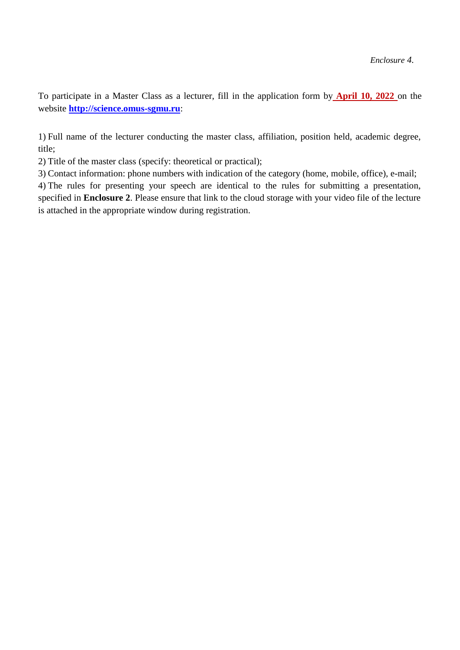To participate in a Master Class as a lecturer, fill in the application form by **April 10, 2022** on the website **[http://science.omus-sgmu.ru](http://science.omus-sgmu.ru/)**:

1) Full name of the lecturer conducting the master class, affiliation, position held, academic degree, title;

2) Title of the master class (specify: theoretical or practical);

3) Contact information: phone numbers with indication of the category (home, mobile, office), e-mail;

4) The rules for presenting your speech are identical to the rules for submitting a presentation, specified in **Enclosure 2**. Please ensure that link to the cloud storage with your video file of the lecture is attached in the appropriate window during registration.